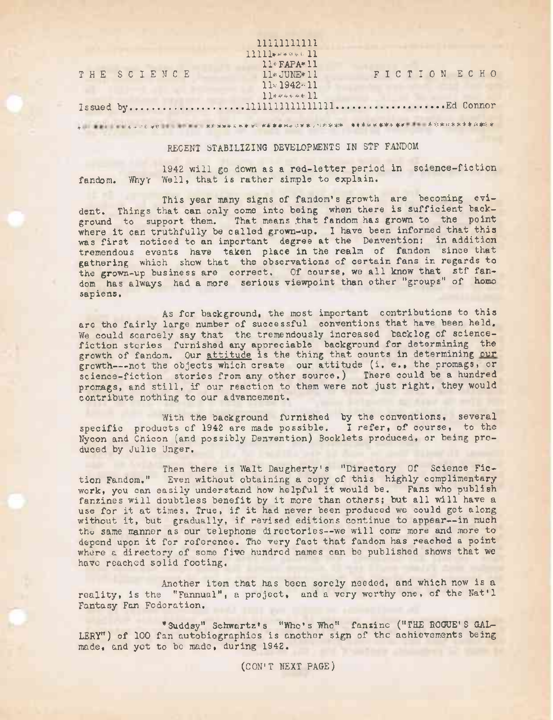|             | 11111111111           |              |  |
|-------------|-----------------------|--------------|--|
|             | $11111***$            |              |  |
|             | $11 \cdot FAPA * 11$  |              |  |
| THE SCIENCE | $11*$ JUNE $*$ 11     | FICTION ECHO |  |
|             | $11 \times 1942 - 11$ |              |  |
|             | $11******11$          |              |  |
|             |                       |              |  |
|             |                       |              |  |

## RECENT STABILIZING DEVELOPMENTS IN STF FANDOM

1942 will go down as a red-letter period in science-fiction fandom. Why's Well, that is rather simple to explain.

This year many signs of fandom's growth are becoming evident. Things that can only come into being when there is sufficient back-ground to support them. That means that fandom has grown to the point where it can truthfully be called grown-up. I have been informed that this was first noticed to an important degree at the Denvention; in addition tremendous events have taken place in the realm of fandom since that gathering which show that the observations of certain fans in regards to the grown-up business are correct. Of course, we all know that stf fandom has always had a more serious viewpoint than other "groups" of homo sapiens.

As for background, the most important contributions to this are the fairly large number of successful conventions that have been held. We could scarcely say that the tremendously increased backlog of sciencefiction stories furnished any appreciable background for determining the growth of fandom. Our attitude is the thing that counts in determining our growth---not the objects which create our attitude (i. e., the promags, or science-fiction stories from any other source.) There could be a hundred promags, and still, if our reaction to them were not just right, they would contribute nothing to our advancement.

With the background furnished by the conventions, several specific products of 1942 are made possible. I refer, of course, to the Nycon and Chicon (and possibly Denvention) Booklets produced, or being produced by Julie Unger.

Then there is Walt Daugherty's "Directory Of Science Fiction Fandom." Even without obtaining a copy of this highly complimentary work, you can easily understand how helpful it would be. Fans who publish fanzines will doubtless benefit by it more than others; but all will have a use for it at times. True, if it had never been produced we could get along without it, but gradually, if revised editions continue to appear--in much the same manner as our telephone directories--we will come more and more to depend upon it for reference. The very fact that fandom has reached a point where a directory of some five hundred names can be published shows that we have reached solid footing.

Another item that has been sorely needed, and which now is a reality, is the "Fannual", a project, and a very worthy one, of the Nat'l Fantasy Fan Federation.

"Suddsy" Schwartz's "Who's Who" fansine ("THE ROGUE'S GAL-LERY") of 100 fan autobiographies is another sign of the achievements being made, and yet to be made, during 1942.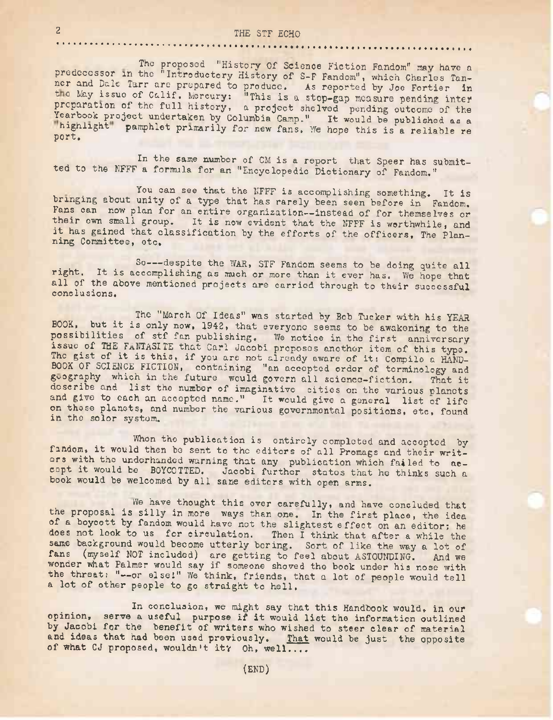# 2 THE STF ECHO

The proposed "History Of Science Fiction Fandom" may have a predecessor in the "Introductory History of S-F Fandom", which Charles Tanner and pale Tarr are prepared to produce. As reported by Joe Fortier in the May issue of Calif. Mercury: "This is a stop-gap measure pending inter preparation of the full history, a project shelved pending outcome of the Yearbook project undertaken by Columbia Camp." It would be published as a highlight" pamphlet primarily for new fans. We hope this is a reliable re port.

In the same number of CM is a report that Speer has submitted to the NFFF a formula for an "Encyclopedic Dictionary of Fandom."

You can see that the NFFF is accomplishing something. It is bringing about unity of a type that has rarely been seen before in Fandom. Fans can now plan for an entire organization—instead of for themselves or their own small group. It is now evident that the NFFF is worthwhile, and it has gained that classification by the efforts of the officers, The Planning Committee, etc.

So---- despite the WAR, STF Fandom seems to be doing quite all right. It is accomplishing as much or more than it ever has. We hope that all of the above mentioned projects are carried through to their successful conclusions.

The "March Of Ideas" was started by Bob Tucker with his YEAR BOOK, but.it is only now, 1942, that everyone seems to be awakening to the possibilities of stf fan publishing. We notice in the first anniversary issue of THE FANTASITE that Carl Jacobi proposes another item of this type. The gist of it is this, if you are not already aware of it: Compile a HAND-BOOK OF SCIENCE FICTION, containing "an accepted order of terminology and geography which in the future would govern all science-fiction. That it describe and list the number of imaginative cities on the various planets and give to each an accepted name." It would give a general list of life on these planets, and number the various governmental positions, etc, found in the solor system.

When the publication is entirely completed and accepted by fandom, it would then be sent to the editors of all Promags and their writers with the underhanded warning that any publication which failed to accept it would be BOYCOTTED. Jacobi further states that he thinks such <sup>a</sup> book would be welcomed by all sane editors with open arms.

He have thought this over carefully, and have concluded that the proposal is silly in more ways than one. In the first place, the idea of a boycott by fandom would have not the slightest effect on an editor; he does not look to us for circulation. Then I think that after a while the same background would become utterly boring. Sort of like the way a lot of fans (myself NOT included) are getting to feel about ASTOUNDING. And we wonder what Palmer would say if someone shoved the book under his nose with the threat: "--or else!" We think, friends, that a lot of people would tell a lot of other people to go straight to hell.

In conclusion, we might say that this Handbook would, in our opinion, serve <sup>a</sup> useful purpose if it would list the information outlined by Jacobi for the benefit of writers who wished to steer clear of material and ideas that had been used previously. That would be just the opposite of what CJ proposed, wouldn't it? Oh, well....

(END)

. . . . **. . . . . .** . . . . . . *.*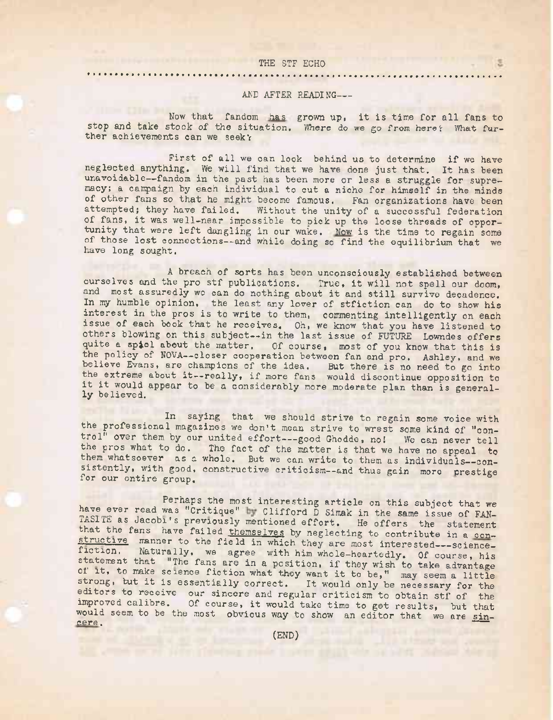### THE STF ECHO

#### AND AFTER READING----

Now that fandom has grown up, it is time for all fans to stop and take stock of the situation. Where do we go from here? What further achievements can we seek'

First of all we can look behind us to determine if we have neglected anything. We will find that we have done just that. It has been unavoidable—fandom in the past has been more or less a struggle for supremacy; a campaign by each individual to cut a niche for himself in the minds of other fans so that he might become famous. Fan organizations have been attempted; they have failed. Without the unity of a successful federation of fans, it was well-near impossible to pick up the loose threads of opportunity that were left dangling in our wake. Now is the time to regain some of those lost connections—and while doing so find the equilibrium that we have long sought.

<sup>A</sup> breach of sorts has been unconsciously established between ourselves and the pro stf publications. True, it will not spell our doom, and most assuredly wc can do nothing about it and still survive decadence. In my humble opinion, the least any lover of stfiction can do to show his interest in the pros is to write to them, commenting intelligently on each issue of each book that he receives. Oh, we know that you have listened to others blowing on this subject—in the last issue of FUTURE Lowndes offers quite a spiel about the matter. Of course, most of you know that this is the policy of NOVA—closer cooperation between fan and pro. Ashley, and we believe Evans, are champions of the idea. But there is no need to go into the extreme about it--really, if more fans would discontinue opposition to it it would appear to be <sup>a</sup> considerably more moderate plan than is generally believed.

In saying that we should strive to regain some voice with the professional magazines we don't mean strive to wrest some kind of ''control<sup>n</sup> over them by our united effort---good Ghodde, no! We can never tell the pros what to do. The fact of the matter is that we have no appeal to them whatsoever as a whole. But we can write to them as individuals--consistently, with good, constructive criticism--and thus gain more prestige for our entire group. Constitutive criticism--and thus gain more prestig

Perhaps the most interesting article on this subject that we have ever read was "Critique" by Clifford D Simak in the same issue of FAN-TASITE as Jacobi's previously mentioned effort. He offers the statement that the fans have failed themselves by neglecting to contribute in a constructive manner to the field in which they are most interested---sciencefiction. Naturally, we agree with him whole-heartedly. Of course, his statement that "The fans are in a position, if they wish to take advantage of it, to make science fiction what they want it to be," may seem <sup>a</sup> little strong, but it is essentially correct. It would only be necessary for the editors to receive our sincere and regular criticism to obtain stf of the improved calibre. Of course, it would take time to get results, but that would seem to be the most obvious way to show an editor that we are sin-